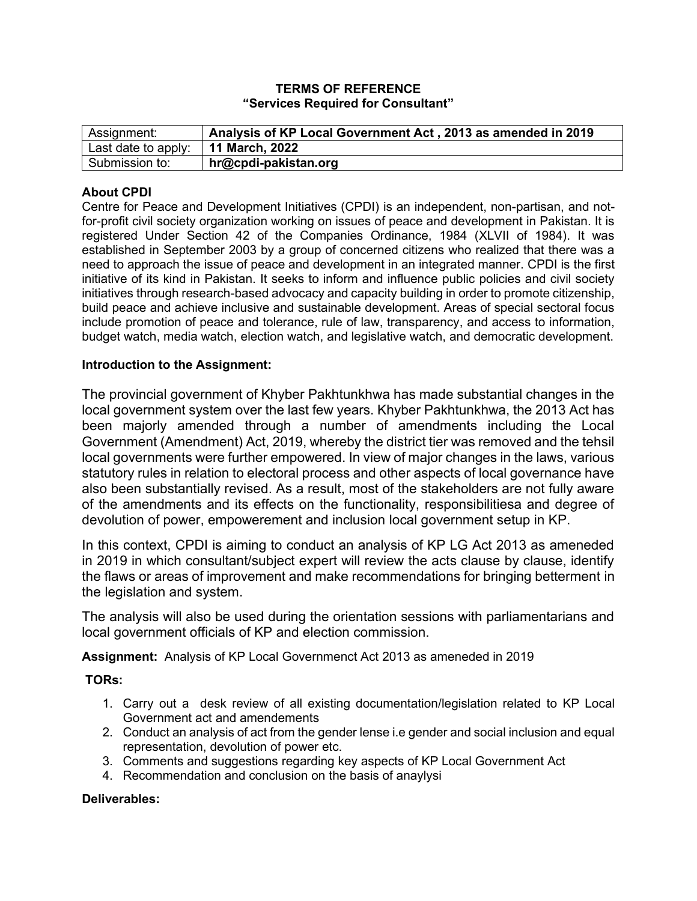### **TERMS OF REFERENCE "Services Required for Consultant"**

| Assignment:         | Analysis of KP Local Government Act, 2013 as amended in 2019 |
|---------------------|--------------------------------------------------------------|
| Last date to apply: | 11 March, 2022                                               |
| Submission to:      | hr@cpdi-pakistan.org                                         |

## **About CPDI**

Centre for Peace and Development Initiatives (CPDI) is an independent, non-partisan, and notfor-profit civil society organization working on issues of peace and development in Pakistan. It is registered Under Section 42 of the Companies Ordinance, 1984 (XLVII of 1984). It was established in September 2003 by a group of concerned citizens who realized that there was a need to approach the issue of peace and development in an integrated manner. CPDI is the first initiative of its kind in Pakistan. It seeks to inform and influence public policies and civil society initiatives through research-based advocacy and capacity building in order to promote citizenship, build peace and achieve inclusive and sustainable development. Areas of special sectoral focus include promotion of peace and tolerance, rule of law, transparency, and access to information, budget watch, media watch, election watch, and legislative watch, and democratic development.

### **Introduction to the Assignment:**

The provincial government of Khyber Pakhtunkhwa has made substantial changes in the local government system over the last few years. Khyber Pakhtunkhwa, the 2013 Act has been majorly amended through a number of amendments including the Local Government (Amendment) Act, 2019, whereby the district tier was removed and the tehsil local governments were further empowered. In view of major changes in the laws, various statutory rules in relation to electoral process and other aspects of local governance have also been substantially revised. As a result, most of the stakeholders are not fully aware of the amendments and its effects on the functionality, responsibilitiesa and degree of devolution of power, empowerement and inclusion local government setup in KP.

In this context, CPDI is aiming to conduct an analysis of KP LG Act 2013 as ameneded in 2019 in which consultant/subject expert will review the acts clause by clause, identify the flaws or areas of improvement and make recommendations for bringing betterment in the legislation and system.

The analysis will also be used during the orientation sessions with parliamentarians and local government officials of KP and election commission.

**Assignment:** Analysis of KP Local Governmenct Act 2013 as ameneded in 2019

**TORs:**

- 1. Carry out a desk review of all existing documentation/legislation related to KP Local Government act and amendements
- 2. Conduct an analysis of act from the gender lense i.e gender and social inclusion and equal representation, devolution of power etc.
- 3. Comments and suggestions regarding key aspects of KP Local Government Act
- 4. Recommendation and conclusion on the basis of anaylysi

## **Deliverables:**